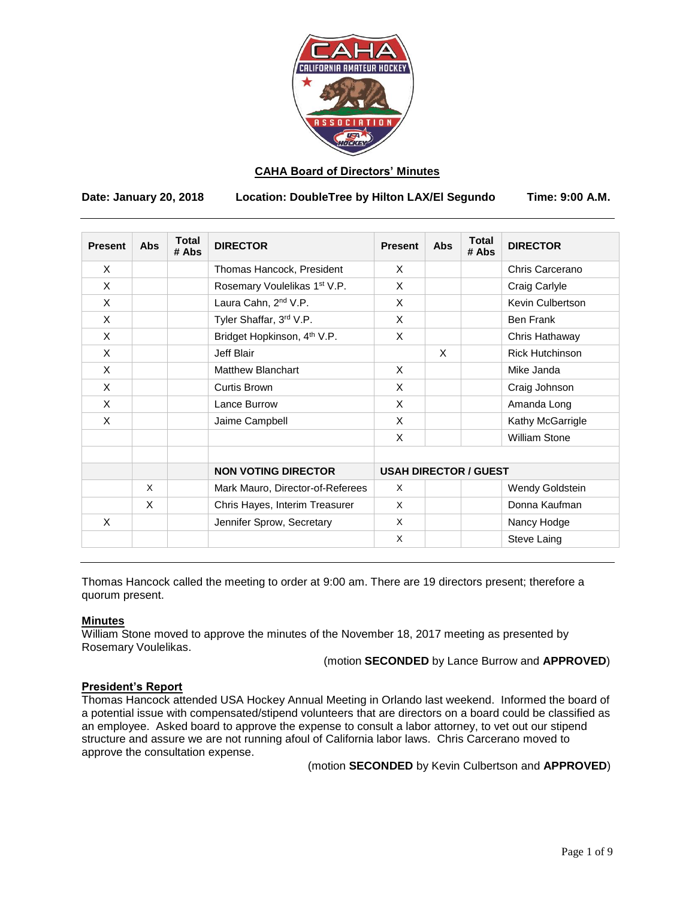

# **CAHA Board of Directors' Minutes**

**Date: January 20, 2018 Location: DoubleTree by Hilton LAX/El Segundo Time: 9:00 A.M.**

| <b>Present</b> | <b>Abs</b> | <b>Total</b><br># Abs | <b>DIRECTOR</b>                          | <b>Present</b>               | <b>Abs</b> | <b>Total</b><br># Abs | <b>DIRECTOR</b>        |
|----------------|------------|-----------------------|------------------------------------------|------------------------------|------------|-----------------------|------------------------|
| X              |            |                       | Thomas Hancock, President                | X                            |            |                       | Chris Carcerano        |
| X              |            |                       | Rosemary Voulelikas 1 <sup>st</sup> V.P. | X                            |            |                       | Craig Carlyle          |
| X              |            |                       | Laura Cahn, 2 <sup>nd</sup> V.P.         | X                            |            |                       | Kevin Culbertson       |
| X              |            |                       | Tyler Shaffar, 3rd V.P.                  | X                            |            |                       | <b>Ben Frank</b>       |
| X              |            |                       | Bridget Hopkinson, 4 <sup>th</sup> V.P.  | X                            |            |                       | Chris Hathaway         |
| X              |            |                       | Jeff Blair                               |                              | X          |                       | <b>Rick Hutchinson</b> |
| X              |            |                       | Matthew Blanchart                        | X                            |            |                       | Mike Janda             |
| X              |            |                       | Curtis Brown                             | X                            |            |                       | Craig Johnson          |
| X              |            |                       | Lance Burrow                             | X                            |            |                       | Amanda Long            |
| X              |            |                       | Jaime Campbell                           | X                            |            |                       | Kathy McGarrigle       |
|                |            |                       |                                          | X                            |            |                       | <b>William Stone</b>   |
|                |            |                       | <b>NON VOTING DIRECTOR</b>               | <b>USAH DIRECTOR / GUEST</b> |            |                       |                        |
|                | X          |                       | Mark Mauro, Director-of-Referees         | X                            |            |                       | Wendy Goldstein        |
|                | X          |                       | Chris Hayes, Interim Treasurer           | X                            |            |                       | Donna Kaufman          |
| X              |            |                       | Jennifer Sprow, Secretary                | X                            |            |                       | Nancy Hodge            |
|                |            |                       |                                          | $\times$                     |            |                       | Steve Laing            |

Thomas Hancock called the meeting to order at 9:00 am. There are 19 directors present; therefore a quorum present.

# **Minutes**

William Stone moved to approve the minutes of the November 18, 2017 meeting as presented by Rosemary Voulelikas.

(motion **SECONDED** by Lance Burrow and **APPROVED**)

# **President's Report**

Thomas Hancock attended USA Hockey Annual Meeting in Orlando last weekend. Informed the board of a potential issue with compensated/stipend volunteers that are directors on a board could be classified as an employee. Asked board to approve the expense to consult a labor attorney, to vet out our stipend structure and assure we are not running afoul of California labor laws. Chris Carcerano moved to approve the consultation expense.

(motion **SECONDED** by Kevin Culbertson and **APPROVED**)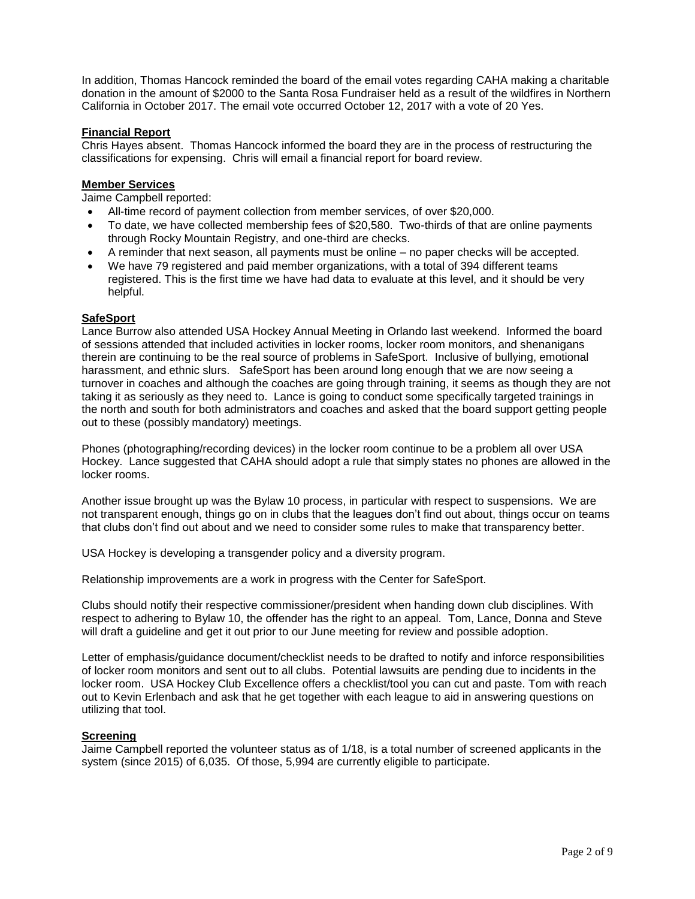In addition, Thomas Hancock reminded the board of the email votes regarding CAHA making a charitable donation in the amount of \$2000 to the Santa Rosa Fundraiser held as a result of the wildfires in Northern California in October 2017. The email vote occurred October 12, 2017 with a vote of 20 Yes.

# **Financial Report**

Chris Hayes absent. Thomas Hancock informed the board they are in the process of restructuring the classifications for expensing. Chris will email a financial report for board review.

### **Member Services**

Jaime Campbell reported:

- All-time record of payment collection from member services, of over \$20,000.
- To date, we have collected membership fees of \$20,580. Two-thirds of that are online payments through Rocky Mountain Registry, and one-third are checks.
- A reminder that next season, all payments must be online no paper checks will be accepted.
- We have 79 registered and paid member organizations, with a total of 394 different teams registered. This is the first time we have had data to evaluate at this level, and it should be very helpful.

# **SafeSport**

Lance Burrow also attended USA Hockey Annual Meeting in Orlando last weekend. Informed the board of sessions attended that included activities in locker rooms, locker room monitors, and shenanigans therein are continuing to be the real source of problems in SafeSport. Inclusive of bullying, emotional harassment, and ethnic slurs. SafeSport has been around long enough that we are now seeing a turnover in coaches and although the coaches are going through training, it seems as though they are not taking it as seriously as they need to. Lance is going to conduct some specifically targeted trainings in the north and south for both administrators and coaches and asked that the board support getting people out to these (possibly mandatory) meetings.

Phones (photographing/recording devices) in the locker room continue to be a problem all over USA Hockey. Lance suggested that CAHA should adopt a rule that simply states no phones are allowed in the locker rooms.

Another issue brought up was the Bylaw 10 process, in particular with respect to suspensions. We are not transparent enough, things go on in clubs that the leagues don't find out about, things occur on teams that clubs don't find out about and we need to consider some rules to make that transparency better.

USA Hockey is developing a transgender policy and a diversity program.

Relationship improvements are a work in progress with the Center for SafeSport.

Clubs should notify their respective commissioner/president when handing down club disciplines. With respect to adhering to Bylaw 10, the offender has the right to an appeal. Tom, Lance, Donna and Steve will draft a guideline and get it out prior to our June meeting for review and possible adoption.

Letter of emphasis/guidance document/checklist needs to be drafted to notify and inforce responsibilities of locker room monitors and sent out to all clubs. Potential lawsuits are pending due to incidents in the locker room. USA Hockey Club Excellence offers a checklist/tool you can cut and paste. Tom with reach out to Kevin Erlenbach and ask that he get together with each league to aid in answering questions on utilizing that tool.

#### **Screening**

Jaime Campbell reported the volunteer status as of 1/18, is a total number of screened applicants in the system (since 2015) of 6,035. Of those, 5,994 are currently eligible to participate.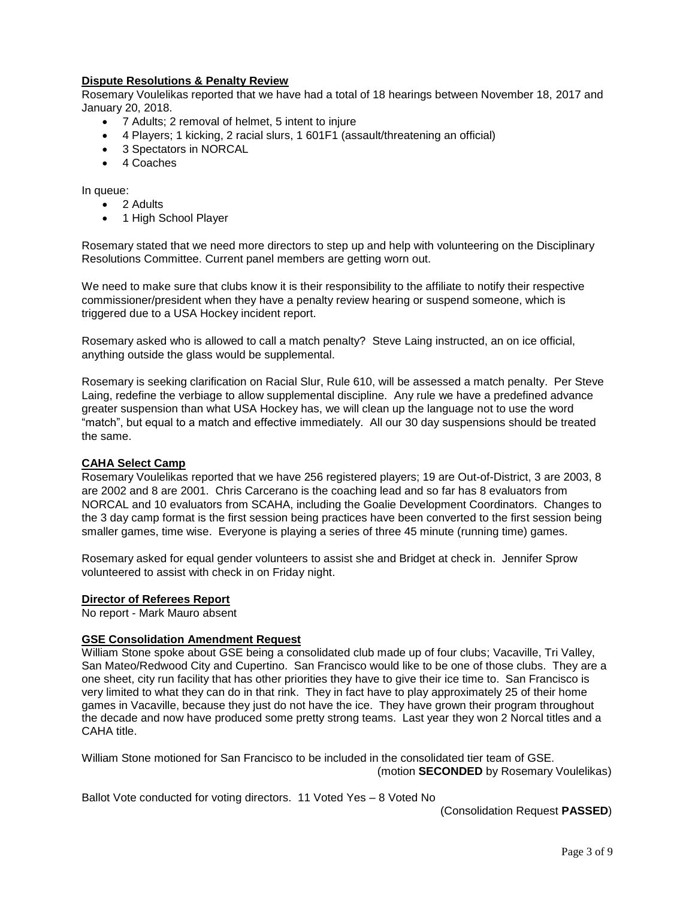# **Dispute Resolutions & Penalty Review**

Rosemary Voulelikas reported that we have had a total of 18 hearings between November 18, 2017 and January 20, 2018.

- 7 Adults; 2 removal of helmet, 5 intent to injure
- 4 Players; 1 kicking, 2 racial slurs, 1 601F1 (assault/threatening an official)
- 3 Spectators in NORCAL
- 4 Coaches

In queue:

- 2 Adults
- 1 High School Player

Rosemary stated that we need more directors to step up and help with volunteering on the Disciplinary Resolutions Committee. Current panel members are getting worn out.

We need to make sure that clubs know it is their responsibility to the affiliate to notify their respective commissioner/president when they have a penalty review hearing or suspend someone, which is triggered due to a USA Hockey incident report.

Rosemary asked who is allowed to call a match penalty? Steve Laing instructed, an on ice official, anything outside the glass would be supplemental.

Rosemary is seeking clarification on Racial Slur, Rule 610, will be assessed a match penalty. Per Steve Laing, redefine the verbiage to allow supplemental discipline. Any rule we have a predefined advance greater suspension than what USA Hockey has, we will clean up the language not to use the word "match", but equal to a match and effective immediately. All our 30 day suspensions should be treated the same.

# **CAHA Select Camp**

Rosemary Voulelikas reported that we have 256 registered players; 19 are Out-of-District, 3 are 2003, 8 are 2002 and 8 are 2001. Chris Carcerano is the coaching lead and so far has 8 evaluators from NORCAL and 10 evaluators from SCAHA, including the Goalie Development Coordinators. Changes to the 3 day camp format is the first session being practices have been converted to the first session being smaller games, time wise. Everyone is playing a series of three 45 minute (running time) games.

Rosemary asked for equal gender volunteers to assist she and Bridget at check in. Jennifer Sprow volunteered to assist with check in on Friday night.

# **Director of Referees Report**

No report - Mark Mauro absent

# **GSE Consolidation Amendment Request**

William Stone spoke about GSE being a consolidated club made up of four clubs; Vacaville, Tri Valley, San Mateo/Redwood City and Cupertino. San Francisco would like to be one of those clubs. They are a one sheet, city run facility that has other priorities they have to give their ice time to. San Francisco is very limited to what they can do in that rink. They in fact have to play approximately 25 of their home games in Vacaville, because they just do not have the ice. They have grown their program throughout the decade and now have produced some pretty strong teams. Last year they won 2 Norcal titles and a CAHA title.

William Stone motioned for San Francisco to be included in the consolidated tier team of GSE. (motion **SECONDED** by Rosemary Voulelikas)

Ballot Vote conducted for voting directors. 11 Voted Yes – 8 Voted No

(Consolidation Request **PASSED**)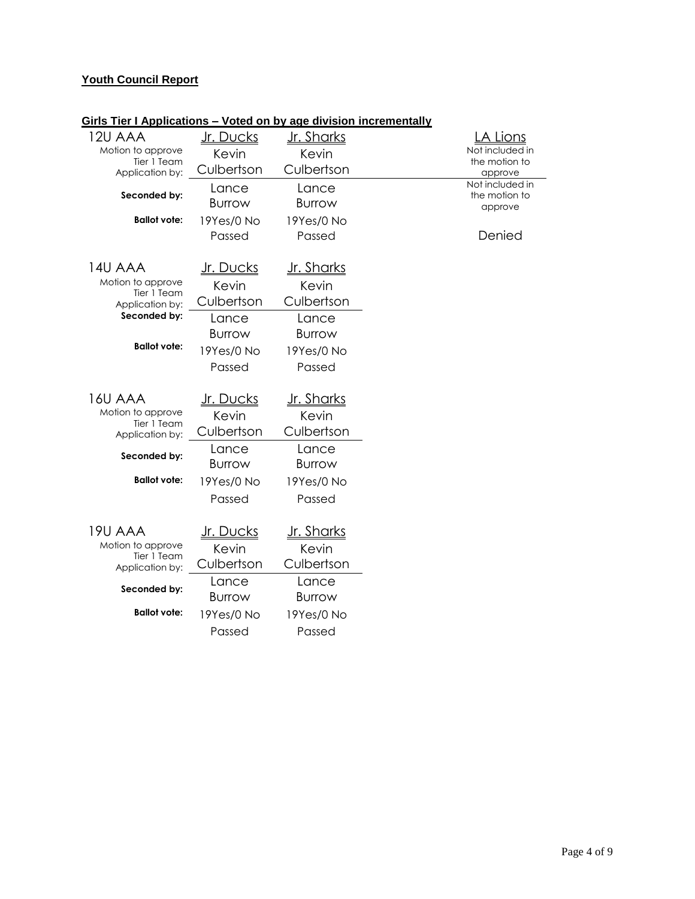# **Youth Council Report**

| 12U AAA                          | <u>Jr. Ducks</u> | <u>Jr. Sharks</u>  | A Lions                          |
|----------------------------------|------------------|--------------------|----------------------------------|
| Motion to approve<br>Tier 1 Team | Kevin            | Kevin              | Not included in<br>the motion to |
| Application by:                  | Culbertson       | Culbertson         | approve                          |
| Seconded by:                     | Lance            | Lance              | Not included in<br>the motion to |
|                                  | <b>Burrow</b>    | <b>Burrow</b>      | approve                          |
| <b>Ballot vote:</b>              | 19Yes/0 No       | 19Yes/0 No         |                                  |
|                                  | Passed           | Passed             | Denied                           |
|                                  |                  |                    |                                  |
| 14U AAA                          | <u>Jr. Ducks</u> | <u> Jr. Sharks</u> |                                  |
| Motion to approve<br>Tier 1 Team | Kevin            | Kevin              |                                  |
| Application by:                  | Culbertson       | Culbertson         |                                  |
| Seconded by:                     | Lance            | Lance              |                                  |
|                                  | <b>Burrow</b>    | <b>Burrow</b>      |                                  |
| <b>Ballot vote:</b>              | 19Yes/0 No       | 19Yes/0 No         |                                  |
|                                  | Passed           | Passed             |                                  |
|                                  |                  |                    |                                  |
| 16U AAA                          | <u>Jr. Ducks</u> | <u>Jr. Sharks</u>  |                                  |
| Motion to approve<br>Tier 1 Team | Kevin            | Kevin              |                                  |
| Application by:                  | Culbertson       | Culbertson         |                                  |
| Seconded by:                     | Lance            | Lance              |                                  |
|                                  | <b>Burrow</b>    | Burrow             |                                  |
| <b>Ballot</b> vote:              | 19Yes/0 No       | 19Yes/0 No         |                                  |
|                                  | Passed           | Passed             |                                  |
|                                  |                  |                    |                                  |
| 19U AAA                          | <u>Jr. Ducks</u> | <u>Jr. Sharks</u>  |                                  |
| Motion to approve<br>Tier 1 Team | Kevin            | Kevin              |                                  |
| Application by:                  | Culbertson       | Culbertson         |                                  |
| Seconded by:                     | Lance            | Lance              |                                  |
|                                  | <b>Burrow</b>    | <b>Burrow</b>      |                                  |
| <b>Ballot vote:</b>              | 19Yes/0 No       | 19Yes/0 No         |                                  |
|                                  | Passed           | Passed             |                                  |

# **Girls Tier I Applications – Voted on by age division incrementally**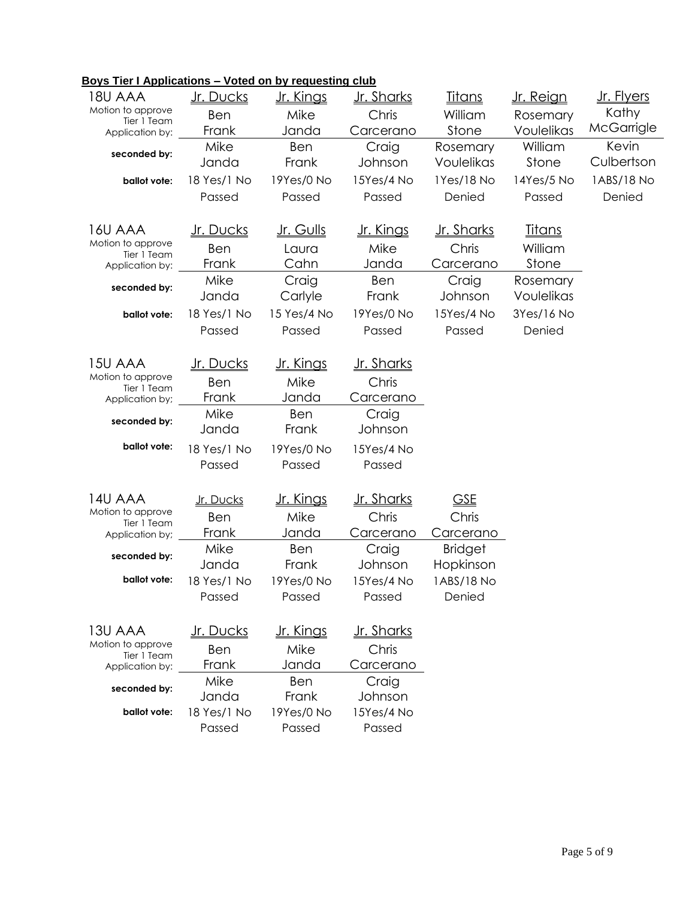| Boys Tier I Applications - Voted on by requesting club |  |
|--------------------------------------------------------|--|
|--------------------------------------------------------|--|

| 18U AAA                          | <u>Jr. Ducks</u> | <u>Jr. Kings</u> | <u>Jr. Sharks</u> | <u>Titans</u>  | <u>Jr. Reign</u> | Jr. Flyers |
|----------------------------------|------------------|------------------|-------------------|----------------|------------------|------------|
| Motion to approve                | Ben              | Mike             | Chris             | William        | Rosemary         | Kathy      |
| Tier 1 Team<br>Application by:   | Frank            | Janda            | Carcerano         | Stone          | Voulelikas       | McGarrigle |
| seconded by:                     | Mike             | Ben              | Craig             | Rosemary       | William          | Kevin      |
|                                  | Janda            | Frank            | Johnson           | Voulelikas     | Stone            | Culbertson |
| ballot vote:                     | 18 Yes/1 No      | 19Yes/0 No       | 15Yes/4 No        | 1Yes/18 No     | 14Yes/5 No       | 1ABS/18 No |
|                                  | Passed           | Passed           | Passed            | Denied         | Passed           | Denied     |
|                                  |                  |                  |                   |                |                  |            |
| 16U AAA                          | <u>Jr. Ducks</u> | <u>Jr. Gulls</u> | <u>Jr. Kings</u>  | Jr. Sharks     | <u>Titans</u>    |            |
| Motion to approve<br>Tier 1 Team | Ben              | Laura            | Mike              | Chris          | William          |            |
| Application by:                  | Frank            | Cahn             | Janda             | Carcerano      | Stone            |            |
| seconded by:                     | Mike             | Craig            | Ben               | Craig          | Rosemary         |            |
|                                  | Janda            | Carlyle          | Frank             | Johnson        | Voulelikas       |            |
| ballot vote:                     | 18 Yes/1 No      | 15 Yes/4 No      | 19Yes/0 No        | 15Yes/4 No     | 3Yes/16 No       |            |
|                                  | Passed           | Passed           | Passed            | Passed         | Denied           |            |
|                                  |                  |                  |                   |                |                  |            |
| 15U AAA                          | <u>Jr. Ducks</u> | <u>Jr. Kings</u> | <u>Jr. Sharks</u> |                |                  |            |
| Motion to approve<br>Tier 1 Team | Ben              | Mike             | Chris             |                |                  |            |
| Application by;                  | Frank            | Janda            | Carcerano         |                |                  |            |
| seconded by:                     | Mike             | Ben              | Craig             |                |                  |            |
|                                  | Janda            | Frank            | Johnson           |                |                  |            |
| ballot vote:                     | 18 Yes/1 No      | 19Yes/0 No       | 15Yes/4 No        |                |                  |            |
|                                  | Passed           | Passed           | Passed            |                |                  |            |
|                                  |                  |                  |                   |                |                  |            |
| 14U AAA                          | Jr. Ducks        | <u>Jr. Kings</u> | <u>Jr. Sharks</u> | <b>GSE</b>     |                  |            |
| Motion to approve<br>Tier 1 Team | Ben              | Mike             | Chris             | Chris          |                  |            |
| Application by;                  | Frank            | Janda            | Carcerano         | Carcerano      |                  |            |
| seconded by:                     | Mike             | Ben              | Craig             | <b>Bridget</b> |                  |            |
|                                  | Janda            | Frank            | Johnson           | Hopkinson      |                  |            |
| ballot vote:                     | 18 Yes/1 No      | 19Yes/0 No       | 15Yes/4 No        | 1ABS/18 No     |                  |            |
|                                  | Passed           | Passed           | Passed            | Denied         |                  |            |
|                                  |                  |                  |                   |                |                  |            |
| 13U AAA                          | <u>Jr. Ducks</u> | <u>Jr. Kings</u> | <u>Jr. Sharks</u> |                |                  |            |
| Motion to approve<br>Tier 1 Team | Ben              | Mike             | Chris             |                |                  |            |
| Application by:                  | Frank            | Janda            | Carcerano         |                |                  |            |
| seconded by:                     | Mike             | Ben              | Craig             |                |                  |            |
|                                  | Janda            | Frank            | Johnson           |                |                  |            |
| ballot vote:                     | 18 Yes/1 No      | 19Yes/0 No       | 15Yes/4 No        |                |                  |            |
|                                  | Passed           | Passed           | Passed            |                |                  |            |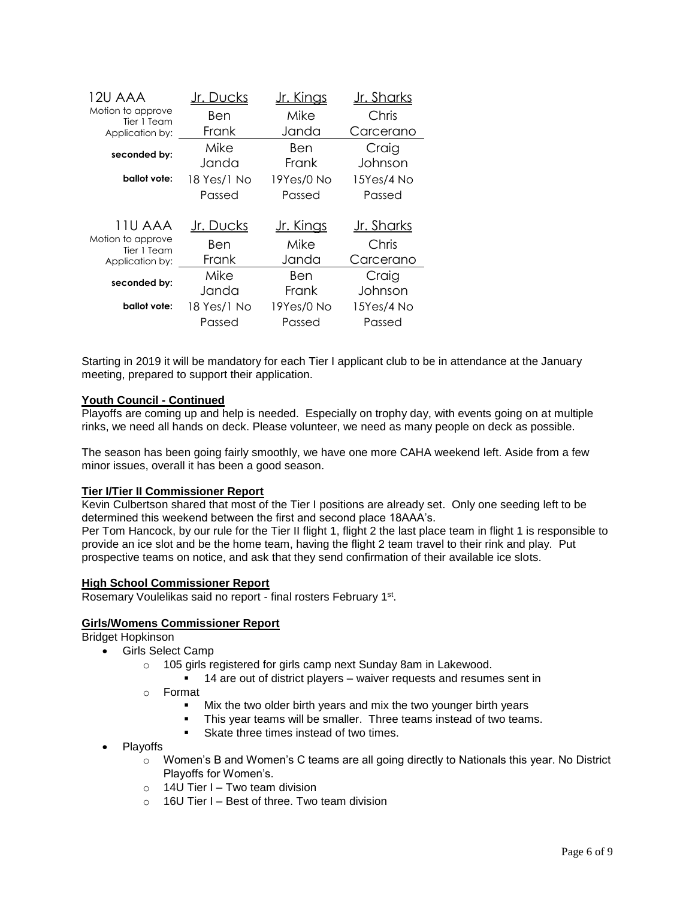| 12U AAA                          | )ucks       | <u> Jr. Kings</u> | Jr. Sharks        |  |
|----------------------------------|-------------|-------------------|-------------------|--|
| Motion to approve<br>Tier 1 Team | Ben         | Mike              | Chris             |  |
| Application by:                  | Frank       | Janda             | Carcerano         |  |
| seconded by:                     | Mike        | Ben               | Craig             |  |
|                                  | Janda       | Frank             | Johnson           |  |
| ballot vote:                     | 18 Yes/1 No | 19Yes/0 No        | 15Yes/4 No        |  |
|                                  | Passed      | Passed            | Passed            |  |
|                                  |             |                   |                   |  |
| 11U AAA                          | Jr. Ducks   | <u>Jr. Kings</u>  | <u>Jr. Sharks</u> |  |
| Motion to approve<br>Tier 1 Team | Ben         | Mike              | Chris             |  |
| Application by:                  | Frank       | Janda             | Carcerano         |  |
| seconded by:                     | Mike        | Ben               | Craig             |  |
|                                  | Janda       | Frank             | Johnson           |  |
| ballot vote:                     | 18 Yes/1 No | 19Yes/0 No        | 15Yes/4 No        |  |
|                                  | Passed      | Passed            | Passed            |  |

Starting in 2019 it will be mandatory for each Tier I applicant club to be in attendance at the January meeting, prepared to support their application.

# **Youth Council - Continued**

Playoffs are coming up and help is needed. Especially on trophy day, with events going on at multiple rinks, we need all hands on deck. Please volunteer, we need as many people on deck as possible.

The season has been going fairly smoothly, we have one more CAHA weekend left. Aside from a few minor issues, overall it has been a good season.

#### **Tier I/Tier II Commissioner Report**

Kevin Culbertson shared that most of the Tier I positions are already set. Only one seeding left to be determined this weekend between the first and second place 18AAA's.

Per Tom Hancock, by our rule for the Tier II flight 1, flight 2 the last place team in flight 1 is responsible to provide an ice slot and be the home team, having the flight 2 team travel to their rink and play. Put prospective teams on notice, and ask that they send confirmation of their available ice slots.

#### **High School Commissioner Report**

Rosemary Voulelikas said no report - final rosters February 1<sup>st</sup>.

#### **Girls/Womens Commissioner Report**

Bridget Hopkinson

- Girls Select Camp
	- o 105 girls registered for girls camp next Sunday 8am in Lakewood.
		- 14 are out of district players waiver requests and resumes sent in
	- o Format
		- Mix the two older birth years and mix the two younger birth years
		- This year teams will be smaller. Three teams instead of two teams.
		- Skate three times instead of two times.
- Playoffs
	- o Women's B and Women's C teams are all going directly to Nationals this year. No District Playoffs for Women's.
	- $\circ$  14U Tier I Two team division
	- $\circ$  16U Tier I Best of three. Two team division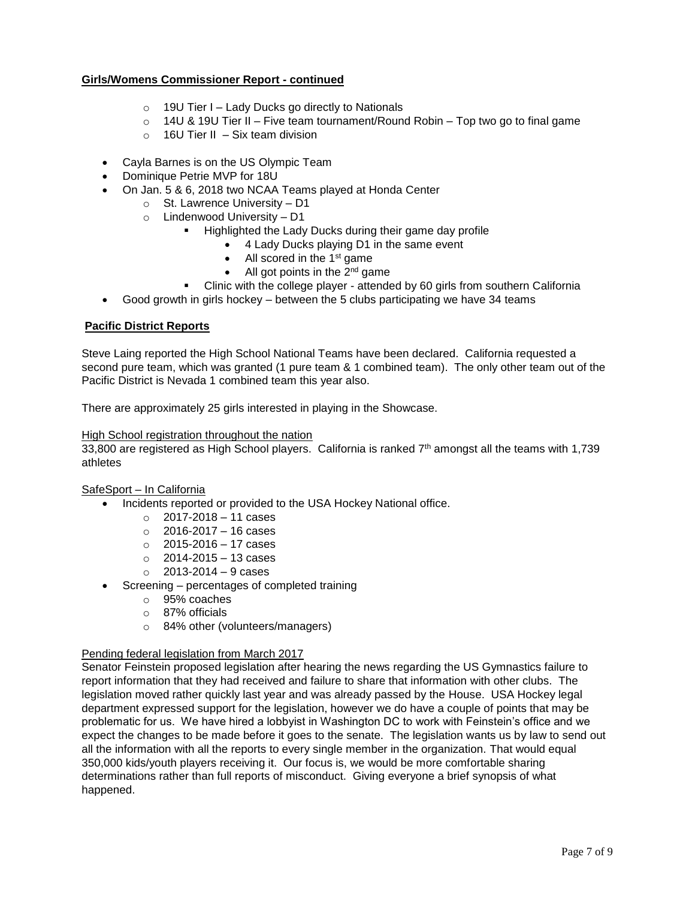# **Girls/Womens Commissioner Report - continued**

- $\circ$  19U Tier I Lady Ducks go directly to Nationals
- $\circ$  14U & 19U Tier II Five team tournament/Round Robin Top two go to final game
- $\circ$  16U Tier II Six team division
- Cayla Barnes is on the US Olympic Team
- Dominique Petrie MVP for 18U
- On Jan. 5 & 6, 2018 two NCAA Teams played at Honda Center
	- o St. Lawrence University D1
	- o Lindenwood University D1
		- Highlighted the Lady Ducks during their game day profile
			- 4 Lady Ducks playing D1 in the same event
				- $\bullet$  All scored in the 1<sup>st</sup> game
				- $\bullet$  All got points in the 2<sup>nd</sup> game
		- Clinic with the college player attended by 60 girls from southern California
- Good growth in girls hockey between the 5 clubs participating we have 34 teams

# **Pacific District Reports**

Steve Laing reported the High School National Teams have been declared. California requested a second pure team, which was granted (1 pure team & 1 combined team). The only other team out of the Pacific District is Nevada 1 combined team this year also.

There are approximately 25 girls interested in playing in the Showcase.

#### High School registration throughout the nation

33,800 are registered as High School players. California is ranked 7th amongst all the teams with 1,739 athletes

# SafeSport – In California

- Incidents reported or provided to the USA Hockey National office.
	- $\circ$  2017-2018 11 cases
	- $\circ$  2016-2017 16 cases
	- $\circ$  2015-2016 17 cases
	- $\circ$  2014-2015 13 cases
	- $\circ$  2013-2014 9 cases
- Screening percentages of completed training
	- o 95% coaches
	- o 87% officials
	- o 84% other (volunteers/managers)

# Pending federal legislation from March 2017

Senator Feinstein proposed legislation after hearing the news regarding the US Gymnastics failure to report information that they had received and failure to share that information with other clubs. The legislation moved rather quickly last year and was already passed by the House. USA Hockey legal department expressed support for the legislation, however we do have a couple of points that may be problematic for us. We have hired a lobbyist in Washington DC to work with Feinstein's office and we expect the changes to be made before it goes to the senate. The legislation wants us by law to send out all the information with all the reports to every single member in the organization. That would equal 350,000 kids/youth players receiving it. Our focus is, we would be more comfortable sharing determinations rather than full reports of misconduct. Giving everyone a brief synopsis of what happened.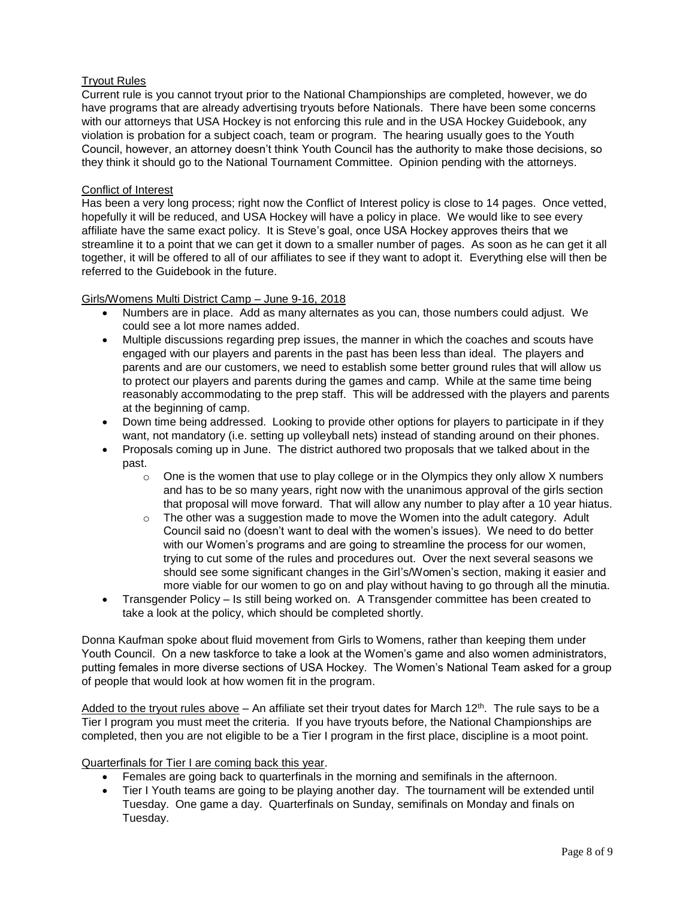# Tryout Rules

Current rule is you cannot tryout prior to the National Championships are completed, however, we do have programs that are already advertising tryouts before Nationals. There have been some concerns with our attorneys that USA Hockey is not enforcing this rule and in the USA Hockey Guidebook, any violation is probation for a subject coach, team or program. The hearing usually goes to the Youth Council, however, an attorney doesn't think Youth Council has the authority to make those decisions, so they think it should go to the National Tournament Committee. Opinion pending with the attorneys.

# Conflict of Interest

Has been a very long process; right now the Conflict of Interest policy is close to 14 pages. Once vetted, hopefully it will be reduced, and USA Hockey will have a policy in place. We would like to see every affiliate have the same exact policy. It is Steve's goal, once USA Hockey approves theirs that we streamline it to a point that we can get it down to a smaller number of pages. As soon as he can get it all together, it will be offered to all of our affiliates to see if they want to adopt it. Everything else will then be referred to the Guidebook in the future.

# Girls/Womens Multi District Camp – June 9-16, 2018

- Numbers are in place. Add as many alternates as you can, those numbers could adjust. We could see a lot more names added.
- Multiple discussions regarding prep issues, the manner in which the coaches and scouts have engaged with our players and parents in the past has been less than ideal. The players and parents and are our customers, we need to establish some better ground rules that will allow us to protect our players and parents during the games and camp. While at the same time being reasonably accommodating to the prep staff. This will be addressed with the players and parents at the beginning of camp.
- Down time being addressed. Looking to provide other options for players to participate in if they want, not mandatory (i.e. setting up volleyball nets) instead of standing around on their phones.
- Proposals coming up in June. The district authored two proposals that we talked about in the past.
	- $\circ$  One is the women that use to play college or in the Olympics they only allow X numbers and has to be so many years, right now with the unanimous approval of the girls section that proposal will move forward. That will allow any number to play after a 10 year hiatus.
	- $\circ$  The other was a suggestion made to move the Women into the adult category. Adult Council said no (doesn't want to deal with the women's issues). We need to do better with our Women's programs and are going to streamline the process for our women, trying to cut some of the rules and procedures out. Over the next several seasons we should see some significant changes in the Girl's/Women's section, making it easier and more viable for our women to go on and play without having to go through all the minutia.
- Transgender Policy Is still being worked on. A Transgender committee has been created to take a look at the policy, which should be completed shortly.

Donna Kaufman spoke about fluid movement from Girls to Womens, rather than keeping them under Youth Council. On a new taskforce to take a look at the Women's game and also women administrators, putting females in more diverse sections of USA Hockey. The Women's National Team asked for a group of people that would look at how women fit in the program.

Added to the tryout rules above – An affiliate set their tryout dates for March 12<sup>th</sup>. The rule says to be a Tier I program you must meet the criteria. If you have tryouts before, the National Championships are completed, then you are not eligible to be a Tier I program in the first place, discipline is a moot point.

Quarterfinals for Tier I are coming back this year.

- Females are going back to quarterfinals in the morning and semifinals in the afternoon.
- Tier I Youth teams are going to be playing another day. The tournament will be extended until Tuesday. One game a day. Quarterfinals on Sunday, semifinals on Monday and finals on Tuesday.